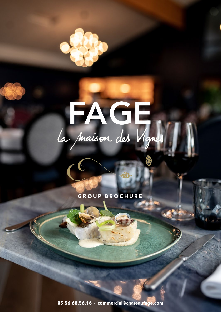

**GROUP BROCHURE**

**05.56.68.56.16 - commercial@chateaufage.com**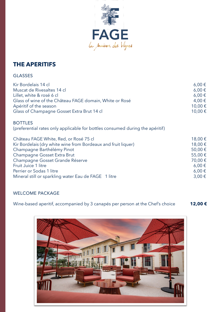

## **THE APERITIFS**

#### GLASSES

| Kir Bordelais 14 cl                                                           | $6,00 \in$ |
|-------------------------------------------------------------------------------|------------|
| Muscat de Rivesaltes 14 cl                                                    | $6,00 \in$ |
| Lillet, white & rosé 6 cl                                                     | $6,00 \in$ |
| Glass of wine of the Château FAGE domain, White or Rosé                       | 4,00 €     |
| Apéritif of the season                                                        | 10,00 €    |
| Glass of Champagne Gosset Extra Brut 14 cl                                    | 10,00€     |
| <b>BOTTLES</b>                                                                |            |
| (preferential rates only applicable for bottles consumed during the apéritif) |            |
| Château FAGE White, Red, or Rosé 75 cl                                        | 18,00€     |
| Kir Bordelais (dry white wine from Bordeaux and fruit liquer)                 | 18,00€     |
| Champagne Barthélémy Pinot                                                    | 50,00€     |
| Champagne Gosset Extra Brut                                                   | 55,00€     |
| Champagne Gosset Grande Réserve                                               | 70,00 €    |
| Fruit Juice 1 litre                                                           | $6,00 \in$ |
| Perrier or Sodas 1 litre                                                      | $6,00 \in$ |
| Mineral still or sparkling water Eau de FAGE 1 litre                          | $3,00 \in$ |

#### WELCOME PACKAGE

Wine-based aperitif, accompanied by 3 canapés per person at the Chef's choice **12,00 €**

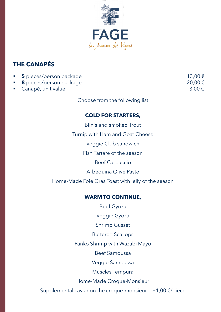

## **THE CANAPÉS**

| • 5 pieces/person package | $13,00 \in$ |
|---------------------------|-------------|
| ■ 8 pieces/person package | 20,00 €     |
| ■ Canapé, unit value      | 3,00 €      |

Choose from the following list

#### **COLD FOR STARTERS,**

Blinis and smoked Trout Turnip with Ham and Goat Cheese Veggie Club sandwich Fish Tartare of the season Beef Carpaccio Arbequina Olive Paste Home-Made Foie Gras Toast with jelly of the season

#### **WARM TO CONTINUE,**

Beef Gyoza Veggie Gyoza Shrimp Gusset Buttered Scallops Panko Shrimp with Wazabi Mayo Beef Samoussa Veggie Samoussa Muscles Tempura Home-Made Croque-Monsieur Supplemental caviar on the croque-monsieur  $+1,00 \in \mathcal{P}$  piece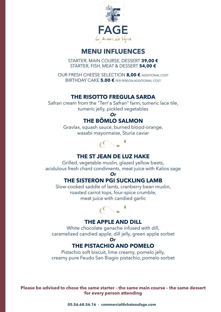

## **MENU INFLUENCES**

STARTER, MAIN COURSE, DESSERT **39,00 €** STARTER, FISH, MEAT & DESSERT **54,00 €**

OUR FRESH CHEESE SELECTION **8,00 €** ADDITIONAL COST BIRTHDAY CAKE **5.00 €** PER PERSON ADDITIONAL COST

#### **THE RISOTTO FREGULA SARDA**

Safran cream from the "Terr'a Safran" farm, tumeric lace tile, tumeric jelly, pickled vegetables

#### *Or* **THE BÖMLO SALMON**

Gravlax, squash sauce, burned blood-orange, wasabi mayonnaise, Sturia caviar



#### **THE ST JEAN DE LUZ HAKE**

Grilled, vegetable muslin, glazed yellow beets, acidulous fresh chard condiments, meat juice with Kalios sage

#### *Or*

#### **THE SISTERON PGI SUCKLING LAMB**

Slow-cooked saddle of lamb, cranberry bean muslin, roasted carrot tops, four-spice crumble, meat juice with candied garlic



#### **THE APPLE AND DILL**

White chocolate ganache infused with dill, caramelized candied apple, dill jelly, green apple sorbet *Or*

## **THE PISTACHIO AND POMELO**

Pistachio soft biscuit, lime creamy, pomelo jelly, creamy pure Feudo San Biagio pistachio, pomelo sorbet

**Please be advised to chose the same starter – the same main course – the same dessert for every person attending**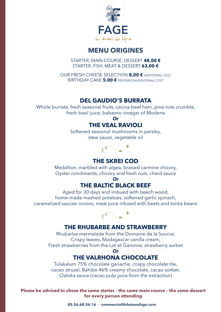

## **MENU ORIGINES**

STARTER, MAIN COURSE, DESSERT **48,00 €** STARTER, FISH, MEAT & DESSERT **63,00 €**

OUR FRESH CHEESE SELECTION **8,00 €** ADDITIONAL COST BIRTHDAY CAKE **5.00 €** PER PERSON ADDITIONAL COST

### **DEL GAUDIO'S BURRATA**

Whole burrata, fresh seasonal fruits, cecina beef ham, pine nuts crumble, fresh basil juice, balsamic vinegar of Modena

#### *Or*

#### **THE VEAL RAVIOLI**

Softened seasonal mushrooms in parsley, stew sauce, vegetable oil



## **THE SKREI COD**

Medallion, marbled with algea, braised carmine chicory, Oyster condiments, chicory and fresh nuts, chard sauce

#### *Or* **THE BALTIC BLACK BEEF**

Aged for 30 days and imbued with beech wood, home-made mashed potatoes, softened garlic spinach, caramelized saucier onions, meat juice infused with beets and tonka beans



## **THE RHUBARBE AND STRAWBERRY**

Rhubarbe marmalade from the Domaine de la Source, Crispy leaves, Madagascar vanilla cream, Fresh strawberries from the Lot et Garonne, strawberry sorbet

#### *Or* **THE VALRHONA CHOCOLATE**

Tulakalum 75% chocolate ganache, crispy chocolate tile, cacao struzel, Bahibe 46% creamy chocolate, cacao sorbet, Oabika sauce (cacao pulp juice from the extraction)

**Please be advised to chose the same starter – the same main course – the same dessert for every person attending**

**05.56.68.56.16 - commercial@chateaufage.com**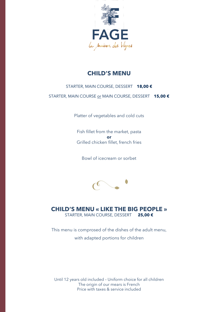

#### **CHILD'S MENU**

#### STARTER, MAIN COURSE, DESSERT **18,00 €**

STARTER, MAIN COURSE or MAIN COURSE, DESSERT **15,00 €**

Platter of vegetables and cold cuts

Fish fillet from the market, pasta **or** Grilled chicken fillet, french fries

Bowl of icecream or sorbet



#### **CHILD'S MENU « LIKE THE BIG PEOPLE »** STARTER, MAIN COURSE, DESSERT **25,00 €**

This menu is comprosed of the dishes of the adult menu, with adapted portions for children

Until 12 years old included – Uniform choice for all children The origin of our mears is French Price with taxes & service included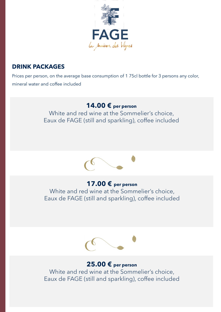

## **DRINK PACKAGES**

Prices per person, on the average base consumption of 1 75cl bottle for 3 persons any color, mineral water and coffee included

## **14.00 € per person**

White and red wine at the Sommelier's choice, Eaux de FAGE (still and sparkling), coffee included



## **17.00 € per person**

White and red wine at the Sommelier's choice, Eaux de FAGE (still and sparkling), coffee included



## **25.00 € per person**

White and red wine at the Sommelier's choice, Eaux de FAGE (still and sparkling), coffee included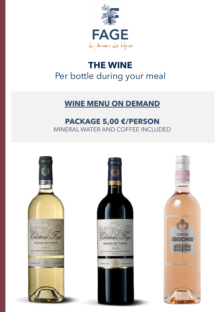

# **THE WINE** Per bottle during your meal

## **WINE MENU ON DEMAND**

## **PACKAGE 5,00 €/PERSON** MINERAL WATER AND COFFEE INCLUDED